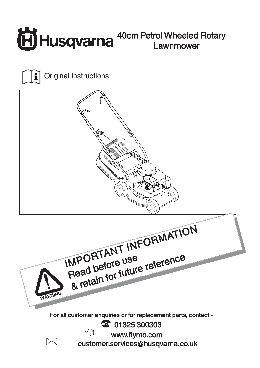



Original Instructions

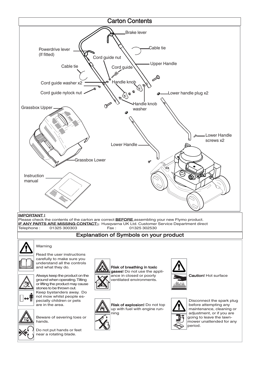

near a rotating blade.

Do not put hands or feet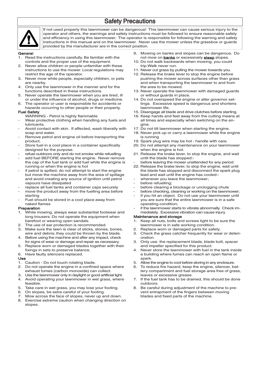# Safety Precautions



If not used properly this lawnmower can be dangerous! This lawnmower can cause serious injury to the operator and others, the warnings and safety instructions must be followed to ensure reasonable safety and efficiency in using this lawnmower. The operator is responsible for following the warning and safety instructions in this manual and on the lawnmower. Never use the mower unless the grassbox or guards provided by the manufacturer are in the correct position.

#### General

- 1. Read the instructions carefully. Be familiar with the controls and the proper use of the equipment.
- 2. Never allow children or people unfamiliar with these instructions to use the mower. Local regulations may restrict the age of the operator.
- 3. Never mow while people, especially children, or pets are nearby.
- 4. Only use the lawnmower in the manner and for the functions described in these instructions.
- 5. Never operate the lawnmower when you are tired, ill or under the influence of alcohol, drugs or medicine.
- 6. The operator or user is responsible for accidents or hazards occurring to other people or their property.

#### Fuel Safety

- WARNING Petrol is highly flammable
- Wear protective clothing when handling any fuels and lubricants.
- Avoid contact with skin. If affected, wash liberally with soap and water.
- Remove petrol and engine oil before transporting the product.
- Store fuel in a cool place in a container specifically designed for the purpose.
- refuel outdoors only and do not smoke while refuelling
- add fuel BEFORE starting the engine. Never remove the cap of the fuel tank or add fuel while the engine is running or when the engine is hot
- if petrol is spilled, do not attempt to start the engine but move the machine away from the area of spillage and avoid creating any source of ignition until petrol vapours have dissipated
- replace all fuel tanks and container caps securely
- move the product away from the fuelling area before starting
- Fuel should be stored in a cool place away from naked flames

## Preparation

- 1. While mowing, always wear substantial footwear and long trousers. Do not operate the equipment when barefoot or wearing open sandals.
- 2. The use of ear protection is recommended.
- 3. Make sure the lawn is clear of sticks, stones, bones, wire and debris; they could be thrown by the blade.
- 4. Before using the machine and after any impact, check for signs of wear or damage and repair as necessary.
- 5. Replace worn or damaged blades together with their fixings in sets to preserve balance. 6. Have faulty silencers replaced.
- 
- $\frac{U\text{se}}{1}$ Caution - Do not touch rotating blade.
- 2. Do not operate the engine in a confined space where exhaust fumes (carbon monoxide) can collect.
- 3. Use the lawnmower only in daylight or good artificial light.
- 4. Avoid operating your lawnmower in wet grass, where feasible.
- 5. Take care in wet grass, you may lose your footing.
- 6. On slopes, be extra careful of your footing.
- 7. Mow across the face of slopes, never up and down.
- 8. Exercise extreme caution when changing direction on slopes.
- 9. Mowing on banks and slopes can be dangerous. Do not mow on **banks** or excessively **steep** slopes.
- 10. Do not walk backwards when mowing, you could trip.Walk never run.
- 11. Never cut grass by pulling the mower towards you.
- 12. Release the brake lever to stop the engine before pushing the mower across surfaces other than grass and when transporting the lawnmower to and from the area to be mowed.
- 13. Never operate the lawnmower with damaged guards or without guards in place.
- 14. Do not overspeed the engine or alter governor settings. Excessive speed is dangerous and shortens lawnmower life.
- 15. Disengage all blade and drive clutches before starting.
- 16. Keep hands and feet away from the cutting means at all times and especially when switching on the engine.
- 17. Do not tilt lawnmower when starting the engine.
- 18. Never pick up or carry a lawnmower while the engine is running
- 19. Spark plug wire may be hot handle with care.
- 20. Do not attempt any maintenance on your lawnmower when the engine is hot.
- 21. Release the brake lever, to stop the engine, and wait until the blade has stopped:-
- before leaving the mower unattended for any period.
- 22. Release the brake lever, to stop the engine, wait until the blade has stopped and disconnect the spark plug lead and wait until the engine has cooled:-
- whenever you leave the lawnmower;
- before refuelling;
- before clearing a blockage or unclogging chute
- before checking, cleaning or working on the lawnmower;
- if you hit an object. Do not use your lawnmower until you are sure that the entire lawnmower is in a safe operating condition;
- if the lawnmower starts to vibrate abnormally. Check immediately. Excessive vibration can cause injury.

#### Maintenance and storage

- Keep all nuts, bolts and screws tight to be sure the lawnmower is in safe working condition.
- 2. Replace worn or damaged parts for safety.
- 3. Check the grass catcher frequently for wear or deterioration.
- 3. Only use the replacement blade, blade bolt, spacer and impeller specified for this product.
- 4. Never store the lawnmower with fuel in the tank inside a building where fumes can reach an open flame or spark.
- 5. Allow the engine to cool before storing in any enclosure.
- 6. To reduce fire hazard, keep the engine, silencer, battery compartment and fuel storage area free of grass. leaves or excessive grease.
- 7. If the fuel tank has to be drained, this should be done outdoors.
- 8. Be careful during adjustment of the machine to prevent entrapment of the fingers between moving blades and fixed parts of the machine.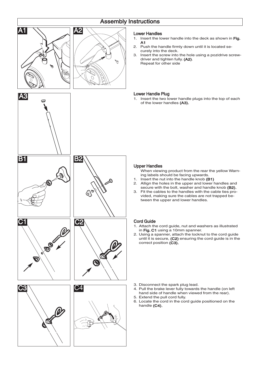# Assembly Instructions



## Lower Handles

- 1. Insert the lower handle into the deck as shown in Fig. A1
- 2. Push the handle firmly down until it is located securely into the deck.
- 3. Insert the screw into the hole using a pozidrive screwdriver and tighten fully. (A2). Repeat for other side

# Lower Handle Plug

1. Insert the two lower handle plugs into the top of each of the lower handles (A3).

## Upper Handles

When viewing product from the rear the yellow Warning labels should be facing upwards.

- 1. Insert the nut into the handle knob (B1)
- 2. Allign the holes in the upper and lower handles and secure with the bolt, washer and handle knob (B2).
- 3. Fit the cables to the handles with the cable ties provided, making sure the cables are not trapped between the upper and lower handles.

## Cord Guide

- 1. Attach the cord guide, nut and washers as illustrated in Fig. C1 using a 10mm spanner.
- 2. Using a spanner, attach the locknut to the cord guide until it is secure, (C2) ensuring the cord guide is in the correct position (C3).

- 3. Disconnect the spark plug lead.
- 4. Pull the brake lever fully towards the handle (on left hand side of handle when viewed from the rear). 5. Extend the pull cord fully.
- 6. Locate the cord in the cord guide positioned on the handle (C4).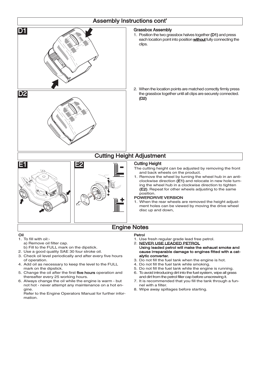

- 2. Use a good quality SAE 30 four stroke oil.
- 3. Check oil level periodically and after every five hours
- of operation.
- 4. Add oil as necessary to keep the level to the FULL mark on the dipstick.
- 5. Change the oil after the first five hours operation and thereafter every 25 working hours.
- 6. Always change the oil while the engine is warm but not hot - never attempt any maintenance on a hot engine.

Refer to the Engine Operators Manual for further information.

- cause irreparable damage to engines fitted with a catalytic converter.
- 3. Do not fill the fuel tank when the engine is hot.
- 4. Do not fill the fuel tank while smoking.
- 5. Do not fill the fuel tank while the engine is running.
- 6. To avoid introducing dirt into the fuel system, wipe all grass and dirt from the petrol filler cap before unscrewing it.
- 7. It is recommended that you fill the tank through a funnel with a filter.
- 8. Wipe away spillages before starting.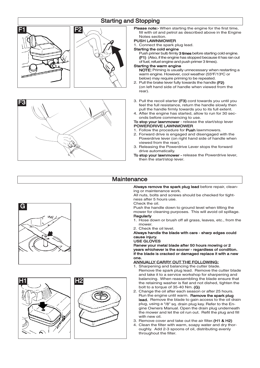# Starting and Stopping





Please note:- When starting the engine for the first time. fill with oil and petrol as described above in the Engine Notes section.

#### PUSH LAWNMOWER

1. Connect the spark plug lead.

Starting the cold engine<br>Push primer bulb firmly 3 times before starting cold engine. (F1) (Also, if the engine has stopped because it has ran out of fuel, refuel engine and push primer 3 times).

# Starting the warm engine

NOTE: Priming is usually unnecessary when restarting a warm engine. However, cool weather (55°F/13°C or below) may require priming to be repeated.

- 2. Pull the brake lever fully towards the handle (F2) (on left hand side of handle when viewed from the rear).
- 3. Pull the recoil starter (F3) cord towards you until you feel the full resistance, return the handle slowly then pull the handle firmly towards you to its full extent.
- 4. After the engine has started, allow to run for 30 seconds before commencing to use.

#### To stop your lawnmower - release the start/stop lever POWERDRIVE LAWNMOWER

- 1. Follow the procedure for **Push** lawnmowers.
- 2. Forward drive is engaged and disengaged with the Powerdrive lever (on right hand side of handle when viewed from the rear).
- 3. Releasing the Powerdrive Lever stops the forward drive automatically.
- To stop your lawnmower release the Powerdrive lever, then the start/stop lever.

# **Maintenance**

Always remove the spark plug lead before repair, cleaning or maintenance work.

All nuts, bolts and screws should be checked for tightness after 5 hours use.

Check the oil.

Push the handle down to ground level when tilting the mower for cleaning purposes. This will avoid oil spillage. **Regularly** 

- 1. Hose down or brush off all grass, leaves, etc., from the mower.
- 2. Check the oil level.

Always handle the blade with care - sharp edges could cause injury.

USE GLOVES

Renew your metal blade after 50 hours mowing or 2 years whichever is the sooner - regardless of condition. If the blade is cracked or damaged replace it with a new one.

## ANNUALLY CARRY OUT THE FOLLOWING:

- 1. Sharpening and balancing the cutter blade. Remove the spark plug lead. Remove the cutter blade and take it to a service workshop for sharpening and balancing. When reassembling the blade ensure that the retaining washer is flat and not dished, tighten the bolt to a torque of 35-40 Nm. (G)
- 2. Change the oil after each season or after 25 hours. Run the engine until warm. Remove the spark plug lead. Remove the blade to gain access to the oil drain plug, using a 3/8" sq. drain plug key. Refer to the Engine Owners Manual. Open the drain plug underneath the mower and let the oil run out. Refit the plug and fill with new oil.
- 3. Remove cover and take out the air filter. (H1 & H2)
- 4. Clean the filter with warm, soapy water and dry thoroughly. Add 2-3 spoons of oil, distributing evenly throughout the filter.





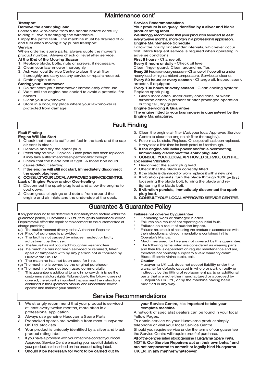#### Transport

## Remove the spark plug lead

Loosen the wire/cable from the handle before carefully folding it. Avoid damaging the wire/cable.

Empty the petrol tank. The machine must be drained of oil and fuel when moving it by public transport.

#### Service

When ordering spare parts, always quote the mower's product number. Always check oil level after service.

## At the End of the Mowing Season

- 1. Replace blade, bolts, nuts or screws, if necessary.
- 2. Clean your lawnmower thoroughly.
- 3. Ask your local Service Centre to clean the air filter thoroughly and carry out any service or repairs required.
- 4. Drain engine of oil.

#### Storing your Lawnmower

- 1. Do not store your lawnmower immediately after use.
- 2. Wait until the engine has cooled to avoid a potential fire hazard.
- 3. Clean your lawnmower
- 4. Store in a cool, dry place where your lawnmower is protected from damage.

#### Service Recommendations

#### Your product is uniquely identified by a silver and black product rating label.

We strongly recommend that your product is serviced at least every twelve months, more often in a professional application. Engine Maintenance Schedule

Follow the hourly or calendar intervals, whichever occur first. More frequent service is required when operating in adverse conditions.

#### First 5 hours - Change oil.

Every 5 hours or daily - Check oil level.

Clean finger guard. Clean around muffler.

Every 25 hours or every season - Change oil if operating under heavy load or high ambient temperature. Service air cleaner. Every 50 hours or every season - Change oil. Inspect spark arrester, if equipped.

Every 100 hours or every season - Clean cooling system\*. Replace spark plug.

Clean more often under dusty conditions, or when airborne debris is present or after prolonged operation cutting tall, dry grass.

# Engine Servicing & Guarantee

The engine fitted to your lawnmower is guaranteed by the Engine Manufacturer.

# Fault Finding

#### Fault Finding Engine Will Not Start

- 1. Check that there is sufficient fuel in the tank and the cap air vent is clear.
- 2. Remove and dry the spark plug.
- 3. Petrol may be stale. Replace. Once petrol has been replaced, it may take a little time for fresh petrol to filter through.
- 4. Check that the blade bolt is tight. A loose bolt could cause difficult starting.
- 5. If the engine will still not start, immediately disconnect
- the spark plug lead. 6. CONSULT YOUR LOCAL APPROVED SERVICE CENTRE.
- Lack of Engine Power and/or Overheating
- 1. Disconnect the spark plug lead and allow the engine to cool down.
- 2. Clean grass clippings and debris from around the engine and air inlets and the underside of the deck.
- 3. Clean the engine air filter (Ask your local Approved Service Centre to clean the engine air filter thoroughly).
- Petrol may be stale. Replace. Once petrol has been replaced. it may take a little time for fresh petrol to filter through.
- 5. If the engine still lacks power and/or is overheating,

# immediately disconnect the spark plug lead. 6. CONSULT YOUR LOCAL APPROVED SERVICE CENTRE. Excessive Vibration

- 1. Disconnect the spark plug lead.
- 2. Check that the blade is correctly fitted.
- 3. If the blade is damaged or worn replace it with a new one.
- 4. If vibration persists, turn the blade through 180° by first loosening the blade bolt, turning the blade and retightening the blade bolt.
- 5. If vibration persists, immediately disconnect the spark plug lead.
- 6. CONSULT YOUR LOCAL APPROVED SERVICE CENTRE.

# Guarantee & Guarantee Policy

#### If any part is found to be defective due to faulty manufacture within the guarantee period, Husqvarna UK Ltd., through its Authorised Service Repairers will effect the repair or replacement to the customer free of charge providing

- (a) The fault is reported directly to the Authorised Repairer.
- (b) Proof of purchase is provided.
- (c) The fault is not caused by misuse, neglect or faulty adjustment by the user.
- (d) The failure has not occurred through fair wear and tear.
- (e) The machine has not been serviced or repaired, taken apart or tampered with by any person not authorised by Husqvarna UK Ltd.
- (f) The machine has not been used for hire.
- (g) The machine is owned by the original purchaser.
- (h) The machine has not been used commercially. This guarantee is additional to, and in no way diminishes the customers statutory rights.Failures due to the following are not covered, therefore it is important that you read the instructions contained in this Operator's Manual and understand how to operate and maintain your machine:

# Failures not covered by guarantee

- 
- Failures as a result of not using the product in accordance with the instructions and recommendations contained in this
- 
- The following items listed are considered as wearing parts and their life is dependent on regular maintenance and are, therefore not normally subject to a valid warranty claim: Blade, Electric Mains cable, belt.
- Caution!

Husqvarna UK Ltd. does not accept liability under the warranty for defects caused in whole or part, directly or indirectly by the fitting of replacement parts or additional parts that are not either manufactured or approved by Husqvarna UK Ltd., or by the machine having been modified in any way.

# Service Recommendations

- 1. We strongly recommend that your product is serviced at least every twelve months, more often in a professional application.
- 2. Always use genuine Husqvarna Spare Parts.<br>3. Prepacked spares are available from most H
- Prepacked spares are available from most Husqvarna UK Ltd. stockists.
- 4. Your product is uniquely identified by a silver and black product rating label
- 5. If you have a problem with your machine contact your local Approved Service Centre ensuring you have full details of your product as described on the product rating label.
- 6. Should it be necessary for work to be carried out by

#### your Service Centre, it is important to take your complete machine.

A network of specialist dealers can be found in your local Yellow Pages.

To obtain service on your Husqvarna product simply telephone or visit your local Service Centre.

Should you require service under the terms of our guarantee the Service Centre will require proof of purchase.

All of the centres listed stock genuine Husqvarna Spare Parts. NOTE: Our Service Repairers act on their own behalf and are not empowered to commit or legally bind Husqvarna UK Ltd. in any manner whatsoever.

- Replacing worn or damaged blades.
- Failures as a result of not reporting an initial fault. Failures as a result of sudden impact.
	-
	- Operator's Manual.
		- Machines used for hire are not covered by this guarantee.